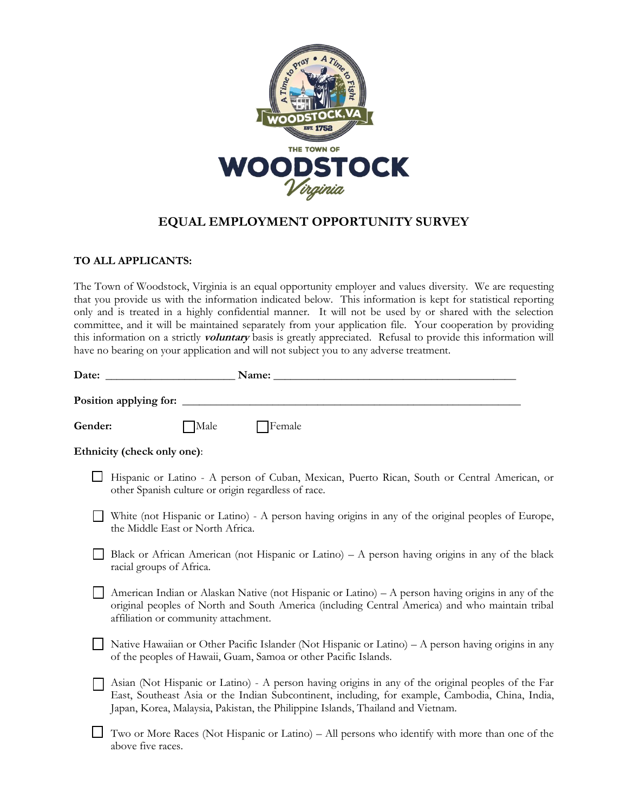

# **EQUAL EMPLOYMENT OPPORTUNITY SURVEY**

# **TO ALL APPLICANTS:**

The Town of Woodstock, Virginia is an equal opportunity employer and values diversity. We are requesting that you provide us with the information indicated below. This information is kept for statistical reporting only and is treated in a highly confidential manner. It will not be used by or shared with the selection committee, and it will be maintained separately from your application file. Your cooperation by providing this information on a strictly **voluntary** basis is greatly appreciated. Refusal to provide this information will have no bearing on your application and will not subject you to any adverse treatment.

|         | Date: and the contract of the contract of the contract of the contract of the contract of the contract of the contract of the contract of the contract of the contract of the contract of the contract of the contract of the<br>Name:                                                    |
|---------|-------------------------------------------------------------------------------------------------------------------------------------------------------------------------------------------------------------------------------------------------------------------------------------------|
|         | Position applying for:                                                                                                                                                                                                                                                                    |
| Gender: | Male<br><b>Female</b>                                                                                                                                                                                                                                                                     |
|         | Ethnicity (check only one):                                                                                                                                                                                                                                                               |
|         | Hispanic or Latino - A person of Cuban, Mexican, Puerto Rican, South or Central American, or<br>other Spanish culture or origin regardless of race.                                                                                                                                       |
|         | White (not Hispanic or Latino) - A person having origins in any of the original peoples of Europe,<br>the Middle East or North Africa.                                                                                                                                                    |
|         | Black or African American (not Hispanic or Latino) – A person having origins in any of the black<br>racial groups of Africa.                                                                                                                                                              |
|         | American Indian or Alaskan Native (not Hispanic or Latino) – A person having origins in any of the<br>original peoples of North and South America (including Central America) and who maintain tribal<br>affiliation or community attachment.                                             |
|         | Native Hawaiian or Other Pacific Islander (Not Hispanic or Latino) – A person having origins in any<br>of the peoples of Hawaii, Guam, Samoa or other Pacific Islands.                                                                                                                    |
|         | Asian (Not Hispanic or Latino) - A person having origins in any of the original peoples of the Far<br>East, Southeast Asia or the Indian Subcontinent, including, for example, Cambodia, China, India,<br>Japan, Korea, Malaysia, Pakistan, the Philippine Islands, Thailand and Vietnam. |
|         | Two or More Races (Not Hispanic or Latino) – All persons who identify with more than one of the<br>above five races.                                                                                                                                                                      |